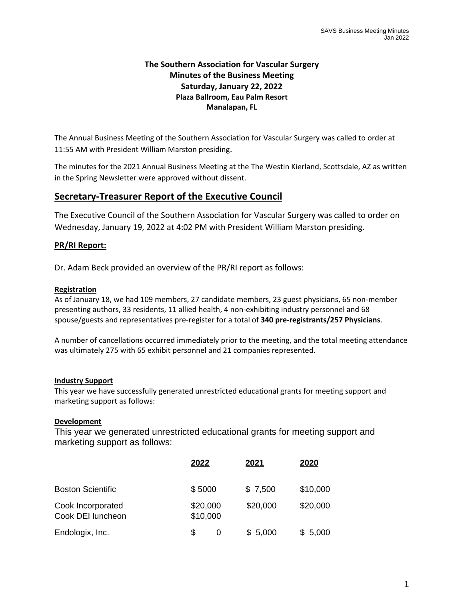## **The Southern Association for Vascular Surgery Minutes of the Business Meeting Saturday, January 22, 2022 Plaza Ballroom, Eau Palm Resort Manalapan, FL**

The Annual Business Meeting of the Southern Association for Vascular Surgery was called to order at 11:55 AM with President William Marston presiding.

The minutes for the 2021 Annual Business Meeting at the The Westin Kierland, Scottsdale, AZ as written in the Spring Newsletter were approved without dissent.

# **Secretary‐Treasurer Report of the Executive Council**

The Executive Council of the Southern Association for Vascular Surgery was called to order on Wednesday, January 19, 2022 at 4:02 PM with President William Marston presiding.

## **PR/RI Report:**

Dr. Adam Beck provided an overview of the PR/RI report as follows:

### **Registration**

As of January 18, we had 109 members, 27 candidate members, 23 guest physicians, 65 non‐member presenting authors, 33 residents, 11 allied health, 4 non‐exhibiting industry personnel and 68 spouse/guests and representatives pre‐register for a total of **340 pre‐registrants/257 Physicians**.

A number of cancellations occurred immediately prior to the meeting, and the total meeting attendance was ultimately 275 with 65 exhibit personnel and 21 companies represented.

#### **Industry Support**

This year we have successfully generated unrestricted educational grants for meeting support and marketing support as follows:

#### **Development**

This year we generated unrestricted educational grants for meeting support and marketing support as follows:

|                                        | 2022                 | 2021     | 2020     |
|----------------------------------------|----------------------|----------|----------|
| <b>Boston Scientific</b>               | \$5000               | \$7,500  | \$10,000 |
| Cook Incorporated<br>Cook DEI luncheon | \$20,000<br>\$10,000 | \$20,000 | \$20,000 |
| Endologix, Inc.                        | \$<br>0              | \$5,000  | \$5,000  |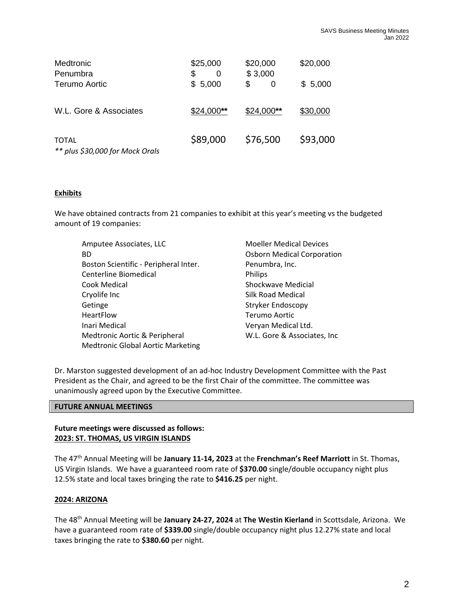| Medtronic<br>Penumbra                    | \$25,000<br>\$<br>0 | \$20,000<br>\$3,000 | \$20,000 |
|------------------------------------------|---------------------|---------------------|----------|
| Terumo Aortic                            | \$5,000             | \$<br>0             | \$5,000  |
| W.L. Gore & Associates                   | $$24,000**$         | $$24,000**$         | \$30,000 |
| TOTAL<br>** plus \$30,000 for Mock Orals | \$89,000            | \$76,500            | \$93,000 |

#### **Exhibits**

We have obtained contracts from 21 companies to exhibit at this year's meeting vs the budgeted amount of 19 companies:

| Amputee Associates, LLC                  | <b>Moeller Medical Devices</b>    |
|------------------------------------------|-----------------------------------|
| <b>BD</b>                                | <b>Osborn Medical Corporation</b> |
| Boston Scientific - Peripheral Inter.    | Penumbra, Inc.                    |
| Centerline Biomedical                    | <b>Philips</b>                    |
| Cook Medical                             | Shockwave Medicial                |
| Cryolife Inc                             | Silk Road Medical                 |
| Getinge                                  | <b>Stryker Endoscopy</b>          |
| HeartFlow                                | Terumo Aortic                     |
| Inari Medical                            | Veryan Medical Ltd.               |
| Medtronic Aortic & Peripheral            | W.L. Gore & Associates, Inc.      |
| <b>Medtronic Global Aortic Marketing</b> |                                   |
|                                          |                                   |

Dr. Marston suggested development of an ad‐hoc Industry Development Committee with the Past President as the Chair, and agreed to be the first Chair of the committee. The committee was unanimously agreed upon by the Executive Committee.

#### **FUTURE ANNUAL MEETINGS**

#### **Future meetings were discussed as follows: 2023: ST. THOMAS, US VIRGIN ISLANDS**

The 47th Annual Meeting will be **January 11‐14, 2023** at the **Frenchman's Reef Marriott** in St. Thomas, US Virgin Islands. We have a guaranteed room rate of **\$370.00** single/double occupancy night plus 12.5% state and local taxes bringing the rate to **\$416.25** per night.

#### **2024: ARIZONA**

The 48th Annual Meeting will be **January 24‐27, 2024** at **The Westin Kierland** in Scottsdale, Arizona. We have a guaranteed room rate of **\$339.00** single/double occupancy night plus 12.27% state and local taxes bringing the rate to **\$380.60** per night.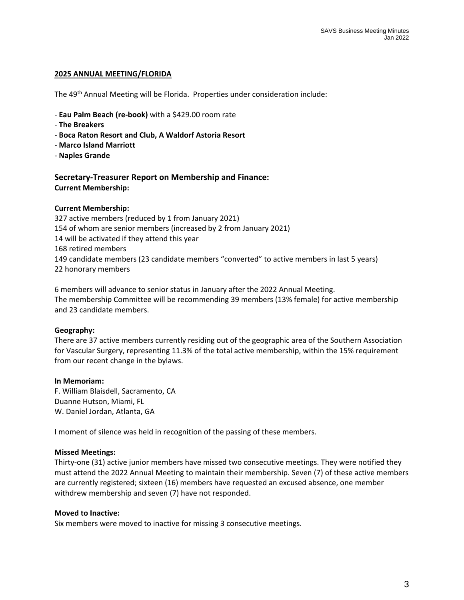#### **2025 ANNUAL MEETING/FLORIDA**

The 49<sup>th</sup> Annual Meeting will be Florida. Properties under consideration include:

- ‐ **Eau Palm Beach (re‐book)** with a \$429.00 room rate
- ‐ **The Breakers**
- ‐ **Boca Raton Resort and Club, A Waldorf Astoria Resort**
- ‐ **Marco Island Marriott**
- ‐ **Naples Grande**

**Secretary‐Treasurer Report on Membership and Finance: Current Membership:**

#### **Current Membership:**

 active members (reduced by 1 from January 2021) of whom are senior members (increased by 2 from January 2021) will be activated if they attend this year retired members candidate members (23 candidate members "converted" to active members in last 5 years) honorary members

6 members will advance to senior status in January after the 2022 Annual Meeting. The membership Committee will be recommending 39 members (13% female) for active membership and 23 candidate members.

#### **Geography:**

There are 37 active members currently residing out of the geographic area of the Southern Association for Vascular Surgery, representing 11.3% of the total active membership, within the 15% requirement from our recent change in the bylaws.

#### **In Memoriam:**

F. William Blaisdell, Sacramento, CA Duanne Hutson, Miami, FL W. Daniel Jordan, Atlanta, GA

I moment of silence was held in recognition of the passing of these members.

#### **Missed Meetings:**

Thirty‐one (31) active junior members have missed two consecutive meetings. They were notified they must attend the 2022 Annual Meeting to maintain their membership. Seven (7) of these active members are currently registered; sixteen (16) members have requested an excused absence, one member withdrew membership and seven (7) have not responded.

#### **Moved to Inactive:**

Six members were moved to inactive for missing 3 consecutive meetings.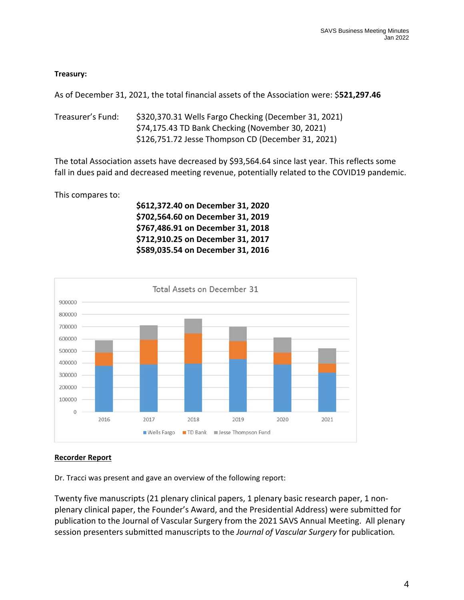## **Treasury:**

As of December 31, 2021, the total financial assets of the Association were: \$**521,297.46**

Treasurer's Fund: \$320,370.31 Wells Fargo Checking (December 31, 2021) \$74,175.43 TD Bank Checking (November 30, 2021) \$126,751.72 Jesse Thompson CD (December 31, 2021)

The total Association assets have decreased by \$93,564.64 since last year. This reflects some fall in dues paid and decreased meeting revenue, potentially related to the COVID19 pandemic.

This compares to:

 **\$612,372.40 on December 31, 2020 \$702,564.60 on December 31, 2019 \$767,486.91 on December 31, 2018 \$712,910.25 on December 31, 2017 \$589,035.54 on December 31, 2016**



#### **Recorder Report**

Dr. Tracci was present and gave an overview of the following report:

Twenty five manuscripts (21 plenary clinical papers, 1 plenary basic research paper, 1 non‐ plenary clinical paper, the Founder's Award, and the Presidential Address) were submitted for publication to the Journal of Vascular Surgery from the 2021 SAVS Annual Meeting. All plenary session presenters submitted manuscripts to the *Journal of Vascular Surgery* for publication*.*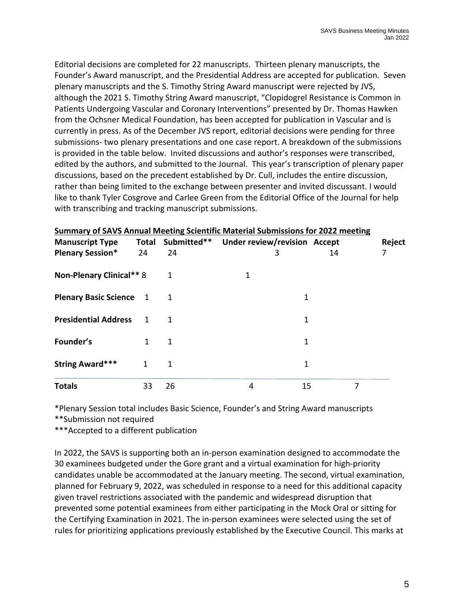Editorial decisions are completed for 22 manuscripts. Thirteen plenary manuscripts, the Founder's Award manuscript, and the Presidential Address are accepted for publication. Seven plenary manuscripts and the S. Timothy String Award manuscript were rejected by JVS, although the 2021 S. Timothy String Award manuscript, "Clopidogrel Resistance is Common in Patients Undergoing Vascular and Coronary Interventions" presented by Dr. Thomas Hawken from the Ochsner Medical Foundation, has been accepted for publication in Vascular and is currently in press. As of the December JVS report, editorial decisions were pending for three submissions‐ two plenary presentations and one case report. A breakdown of the submissions is provided in the table below. Invited discussions and author's responses were transcribed, edited by the authors, and submitted to the Journal. This year's transcription of plenary paper discussions, based on the precedent established by Dr. Cull, includes the entire discussion, rather than being limited to the exchange between presenter and invited discussant. I would like to thank Tyler Cosgrove and Carlee Green from the Editorial Office of the Journal for help with transcribing and tracking manuscript submissions.

| Summary of SAVS Annual Meeting Scientific Material Submissions for 2022 meeting<br><b>Manuscript Type</b> |             |    | Total Submitted** Under review/revision Accept |    | Reject |
|-----------------------------------------------------------------------------------------------------------|-------------|----|------------------------------------------------|----|--------|
| <b>Plenary Session*</b>                                                                                   | 24          | 24 | 3                                              | 14 |        |
| Non-Plenary Clinical** 8                                                                                  |             |    |                                                |    |        |
| <b>Plenary Basic Science</b> 1                                                                            |             |    |                                                |    |        |
| <b>Presidential Address</b>                                                                               | $\mathbf 1$ |    |                                                | 1  |        |
| Founder's                                                                                                 | 1           | 1  |                                                | 1  |        |
| <b>String Award***</b>                                                                                    | 1           | 1  |                                                | 1  |        |
| <b>Totals</b>                                                                                             | 33          | 26 | 4                                              | 15 | 7      |

\*Plenary Session total includes Basic Science, Founder's and String Award manuscripts

\*\*Submission not required

\*\*\*Accepted to a different publication

In 2022, the SAVS is supporting both an in‐person examination designed to accommodate the 30 examinees budgeted under the Gore grant and a virtual examination for high‐priority candidates unable be accommodated at the January meeting. The second, virtual examination, planned for February 9, 2022, was scheduled in response to a need for this additional capacity given travel restrictions associated with the pandemic and widespread disruption that prevented some potential examinees from either participating in the Mock Oral or sitting for the Certifying Examination in 2021. The in‐person examinees were selected using the set of rules for prioritizing applications previously established by the Executive Council. This marks at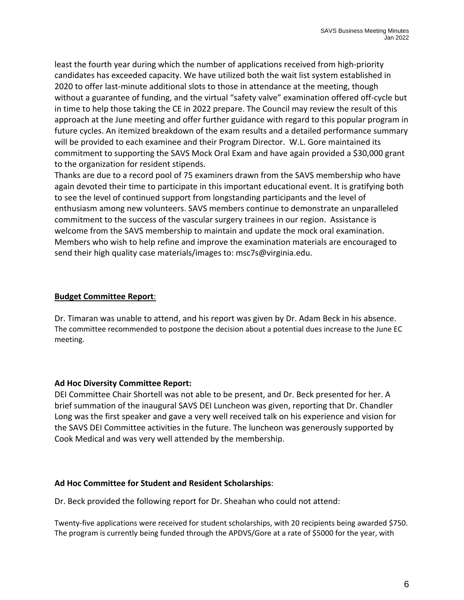least the fourth year during which the number of applications received from high-priority candidates has exceeded capacity. We have utilized both the wait list system established in 2020 to offer last-minute additional slots to those in attendance at the meeting, though without a guarantee of funding, and the virtual "safety valve" examination offered off‐cycle but in time to help those taking the CE in 2022 prepare. The Council may review the result of this approach at the June meeting and offer further guidance with regard to this popular program in future cycles. An itemized breakdown of the exam results and a detailed performance summary will be provided to each examinee and their Program Director. W.L. Gore maintained its commitment to supporting the SAVS Mock Oral Exam and have again provided a \$30,000 grant to the organization for resident stipends.

Thanks are due to a record pool of 75 examiners drawn from the SAVS membership who have again devoted their time to participate in this important educational event. It is gratifying both to see the level of continued support from longstanding participants and the level of enthusiasm among new volunteers. SAVS members continue to demonstrate an unparalleled commitment to the success of the vascular surgery trainees in our region. Assistance is welcome from the SAVS membership to maintain and update the mock oral examination. Members who wish to help refine and improve the examination materials are encouraged to send their high quality case materials/images to: msc7s@virginia.edu.

## **Budget Committee Report**:

Dr. Timaran was unable to attend, and his report was given by Dr. Adam Beck in his absence. The committee recommended to postpone the decision about a potential dues increase to the June EC meeting.

## **Ad Hoc Diversity Committee Report:**

DEI Committee Chair Shortell was not able to be present, and Dr. Beck presented for her. A brief summation of the inaugural SAVS DEI Luncheon was given, reporting that Dr. Chandler Long was the first speaker and gave a very well received talk on his experience and vision for the SAVS DEI Committee activities in the future. The luncheon was generously supported by Cook Medical and was very well attended by the membership.

## **Ad Hoc Committee for Student and Resident Scholarships**:

Dr. Beck provided the following report for Dr. Sheahan who could not attend:

Twenty‐five applications were received for student scholarships, with 20 recipients being awarded \$750. The program is currently being funded through the APDVS/Gore at a rate of \$5000 for the year, with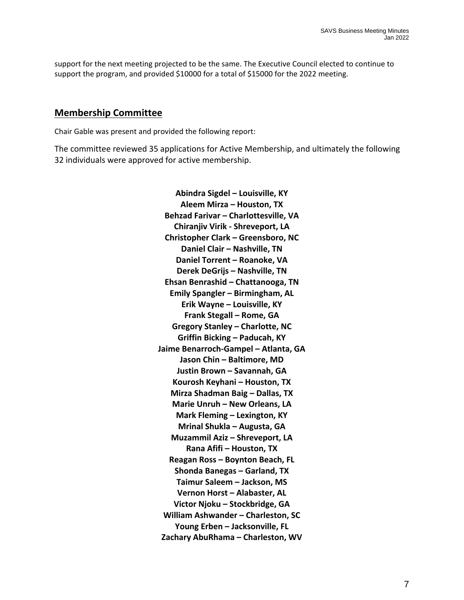support for the next meeting projected to be the same. The Executive Council elected to continue to support the program, and provided \$10000 for a total of \$15000 for the 2022 meeting.

## **Membership Committee**

Chair Gable was present and provided the following report:

The committee reviewed 35 applications for Active Membership, and ultimately the following 32 individuals were approved for active membership.

> **Abindra Sigdel – Louisville, KY Aleem Mirza – Houston, TX Behzad Farivar – Charlottesville, VA Chiranjiv Virik ‐ Shreveport, LA Christopher Clark – Greensboro, NC Daniel Clair – Nashville, TN Daniel Torrent – Roanoke, VA Derek DeGrijs – Nashville, TN Ehsan Benrashid – Chattanooga, TN Emily Spangler – Birmingham, AL Erik Wayne – Louisville, KY Frank Stegall – Rome, GA Gregory Stanley – Charlotte, NC Griffin Bicking – Paducah, KY Jaime Benarroch‐Gampel – Atlanta, GA Jason Chin – Baltimore, MD Justin Brown – Savannah, GA Kourosh Keyhani – Houston, TX Mirza Shadman Baig – Dallas, TX Marie Unruh – New Orleans, LA Mark Fleming – Lexington, KY Mrinal Shukla – Augusta, GA Muzammil Aziz – Shreveport, LA Rana Afifi – Houston, TX Reagan Ross – Boynton Beach, FL Shonda Banegas – Garland, TX Taimur Saleem – Jackson, MS Vernon Horst – Alabaster, AL Victor Njoku – Stockbridge, GA William Ashwander – Charleston, SC Young Erben – Jacksonville, FL Zachary AbuRhama – Charleston, WV**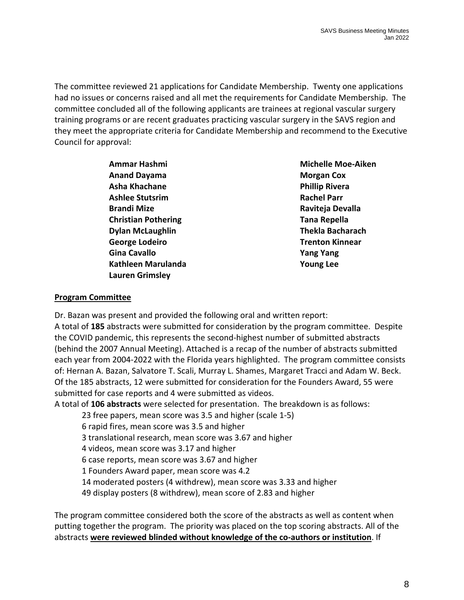The committee reviewed 21 applications for Candidate Membership. Twenty one applications had no issues or concerns raised and all met the requirements for Candidate Membership. The committee concluded all of the following applicants are trainees at regional vascular surgery training programs or are recent graduates practicing vascular surgery in the SAVS region and they meet the appropriate criteria for Candidate Membership and recommend to the Executive Council for approval:

> **Anand Dayama Morgan Cox Asha Khachane Phillip Rivera Ashlee Stutsrim Rachel Parr Brandi Mize Raviteja Devalla Christian Pothering Tana Repella Dylan McLaughlin Thekla Bacharach George Lodeiro Trenton Kinnear Gina Cavallo Yang Yang Kathleen Marulanda Young Lee Lauren Grimsley**

**Ammar Hashmi Michelle Moe‐Aiken**

## **Program Committee**

Dr. Bazan was present and provided the following oral and written report: A total of **185** abstracts were submitted for consideration by the program committee. Despite the COVID pandemic, this represents the second‐highest number of submitted abstracts (behind the 2007 Annual Meeting). Attached is a recap of the number of abstracts submitted each year from 2004‐2022 with the Florida years highlighted. The program committee consists of: Hernan A. Bazan, Salvatore T. Scali, Murray L. Shames, Margaret Tracci and Adam W. Beck. Of the 185 abstracts, 12 were submitted for consideration for the Founders Award, 55 were submitted for case reports and 4 were submitted as videos.

A total of **106 abstracts** were selected for presentation. The breakdown is as follows:

23 free papers, mean score was 3.5 and higher (scale 1‐5)

6 rapid fires, mean score was 3.5 and higher

3 translational research, mean score was 3.67 and higher

4 videos, mean score was 3.17 and higher

6 case reports, mean score was 3.67 and higher

1 Founders Award paper, mean score was 4.2

14 moderated posters (4 withdrew), mean score was 3.33 and higher

49 display posters (8 withdrew), mean score of 2.83 and higher

The program committee considered both the score of the abstracts as well as content when putting together the program. The priority was placed on the top scoring abstracts. All of the abstracts **were reviewed blinded without knowledge of the co‐authors or institution**. If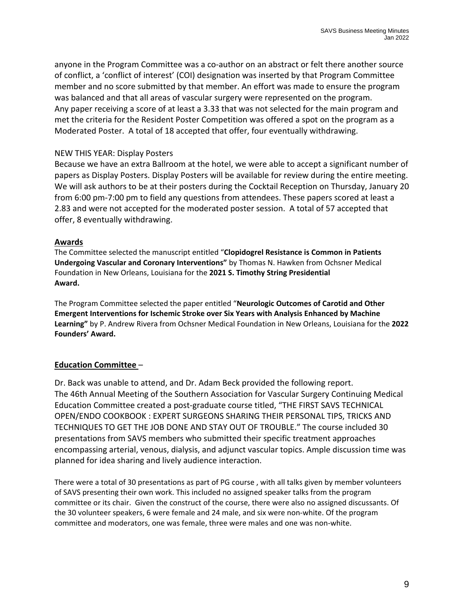anyone in the Program Committee was a co-author on an abstract or felt there another source of conflict, a 'conflict of interest' (COI) designation was inserted by that Program Committee member and no score submitted by that member. An effort was made to ensure the program was balanced and that all areas of vascular surgery were represented on the program. Any paper receiving a score of at least a 3.33 that was not selected for the main program and met the criteria for the Resident Poster Competition was offered a spot on the program as a Moderated Poster. A total of 18 accepted that offer, four eventually withdrawing.

## NEW THIS YEAR: Display Posters

Because we have an extra Ballroom at the hotel, we were able to accept a significant number of papers as Display Posters. Display Posters will be available for review during the entire meeting. We will ask authors to be at their posters during the Cocktail Reception on Thursday, January 20 from 6:00 pm‐7:00 pm to field any questions from attendees. These papers scored at least a 2.83 and were not accepted for the moderated poster session. A total of 57 accepted that offer, 8 eventually withdrawing.

### **Awards**

The Committee selected the manuscript entitled "**Clopidogrel Resistance is Common in Patients Undergoing Vascular and Coronary Interventions"** by Thomas N. Hawken from Ochsner Medical Foundation in New Orleans, Louisiana for the **2021 S. Timothy String Presidential Award.**

The Program Committee selected the paper entitled "**Neurologic Outcomes of Carotid and Other Emergent Interventions for Ischemic Stroke over Six Years with Analysis Enhanced by Machine Learning"** by P. Andrew Rivera from Ochsner Medical Foundation in New Orleans, Louisiana for the **2022 Founders' Award.**

## **Education Committee** –

Dr. Back was unable to attend, and Dr. Adam Beck provided the following report. The 46th Annual Meeting of the Southern Association for Vascular Surgery Continuing Medical Education Committee created a post‐graduate course titled, "THE FIRST SAVS TECHNICAL OPEN/ENDO COOKBOOK : EXPERT SURGEONS SHARING THEIR PERSONAL TIPS, TRICKS AND TECHNIQUES TO GET THE JOB DONE AND STAY OUT OF TROUBLE." The course included 30 presentations from SAVS members who submitted their specific treatment approaches encompassing arterial, venous, dialysis, and adjunct vascular topics. Ample discussion time was planned for idea sharing and lively audience interaction.

There were a total of 30 presentations as part of PG course , with all talks given by member volunteers of SAVS presenting their own work. This included no assigned speaker talks from the program committee or its chair. Given the construct of the course, there were also no assigned discussants. Of the 30 volunteer speakers, 6 were female and 24 male, and six were non-white. Of the program committee and moderators, one was female, three were males and one was non‐white.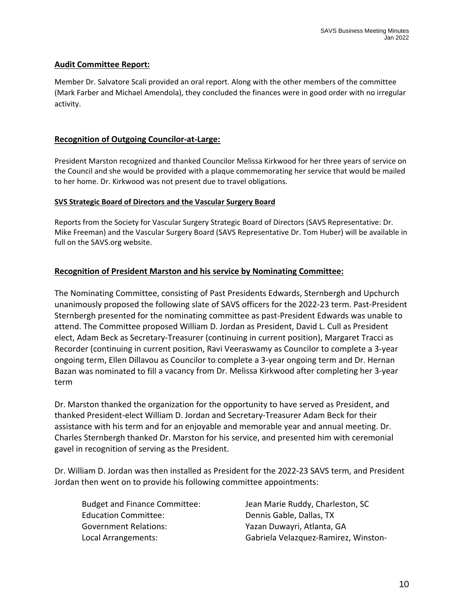## **Audit Committee Report:**

Member Dr. Salvatore Scali provided an oral report. Along with the other members of the committee (Mark Farber and Michael Amendola), they concluded the finances were in good order with no irregular activity.

## **Recognition of Outgoing Councilor‐at‐Large:**

President Marston recognized and thanked Councilor Melissa Kirkwood for her three years of service on the Council and she would be provided with a plaque commemorating her service that would be mailed to her home. Dr. Kirkwood was not present due to travel obligations.

#### **SVS Strategic Board of Directors and the Vascular Surgery Board**

Reports from the Society for Vascular Surgery Strategic Board of Directors (SAVS Representative: Dr. Mike Freeman) and the Vascular Surgery Board (SAVS Representative Dr. Tom Huber) will be available in full on the SAVS.org website.

## **Recognition of President Marston and his service by Nominating Committee:**

The Nominating Committee, consisting of Past Presidents Edwards, Sternbergh and Upchurch unanimously proposed the following slate of SAVS officers for the 2022‐23 term. Past‐President Sternbergh presented for the nominating committee as past‐President Edwards was unable to attend. The Committee proposed William D. Jordan as President, David L. Cull as President elect, Adam Beck as Secretary‐Treasurer (continuing in current position), Margaret Tracci as Recorder (continuing in current position, Ravi Veeraswamy as Councilor to complete a 3‐year ongoing term, Ellen Dillavou as Councilor to complete a 3‐year ongoing term and Dr. Hernan Bazan was nominated to fill a vacancy from Dr. Melissa Kirkwood after completing her 3‐year term

Dr. Marston thanked the organization for the opportunity to have served as President, and thanked President‐elect William D. Jordan and Secretary‐Treasurer Adam Beck for their assistance with his term and for an enjoyable and memorable year and annual meeting. Dr. Charles Sternbergh thanked Dr. Marston for his service, and presented him with ceremonial gavel in recognition of serving as the President.

Dr. William D. Jordan was then installed as President for the 2022‐23 SAVS term, and President Jordan then went on to provide his following committee appointments:

Education Committee: Committee: Dennis Gable, Dallas, TX Government Relations: Yazan Duwayri, Atlanta, GA

Budget and Finance Committee: Jean Marie Ruddy, Charleston, SC Local Arrangements: Gabriela Velazquez‐Ramirez, Winston‐